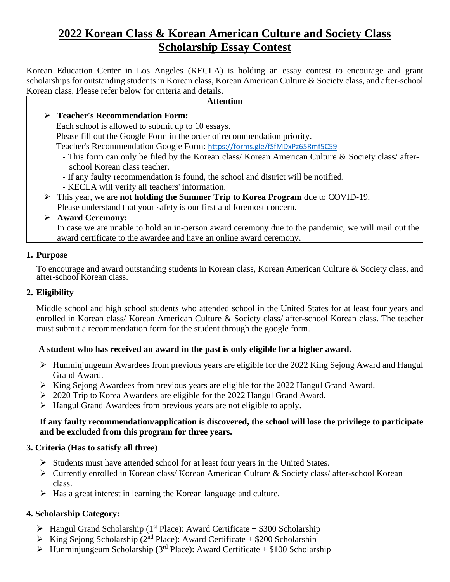# **2022 Korean Class & Korean American Culture and Society Class Scholarship Essay Contest**

Korean Education Center in Los Angeles (KECLA) is holding an essay contest to encourage and grant scholarships for outstanding students in Korean class, Korean American Culture & Society class, and after-school Korean class. Please refer below for criteria and details.

#### **Attention**

## ➢ **Teacher's Recommendation Form:**

Each school is allowed to submit up to 10 essays.

Please fill out the Google Form in the order of recommendation priority.

Teacher's Recommendation Google Form: <https://forms.gle/fSfMDxPz65Rmf5C59>

- This form can only be filed by the Korean class/ Korean American Culture & Society class/ afterschool Korean class teacher.
- If any faulty recommendation is found, the school and district will be notified.
- KECLA will verify all teachers' information.
- ➢ This year, we are **not holding the Summer Trip to Korea Program** due to COVID-19. Please understand that your safety is our first and foremost concern.

## ➢ **Award Ceremony:**

In case we are unable to hold an in-person award ceremony due to the pandemic, we will mail out the award certificate to the awardee and have an online award ceremony.

## **1. Purpose**

To encourage and award outstanding students in Korean class, Korean American Culture & Society class, and after-school Korean class.

## **2. Eligibility**

Middle school and high school students who attended school in the United States for at least four years and enrolled in Korean class/ Korean American Culture & Society class/ after-school Korean class. The teacher must submit a recommendation form for the student through the google form.

## **A student who has received an award in the past is only eligible for a higher award.**

- ➢ Hunminjungeum Awardees from previous years are eligible for the 2022 King Sejong Award and Hangul Grand Award.
- ➢ King Sejong Awardees from previous years are eligible for the 2022 Hangul Grand Award.
- ➢ 2020 Trip to Korea Awardees are eligible for the 2022 Hangul Grand Award.
- ➢ Hangul Grand Awardees from previous years are not eligible to apply.

## **If any faulty recommendation/application is discovered, the school will lose the privilege to participate and be excluded from this program for three years.**

## **3. Criteria (Has to satisfy all three)**

- ➢ Students must have attended school for at least four years in the United States.
- ➢ Currently enrolled in Korean class/ Korean American Culture & Society class/ after-school Korean class.
- ➢ Has a great interest in learning the Korean language and culture.

## **4. Scholarship Category:**

- $\triangleright$  Hangul Grand Scholarship (1<sup>st</sup> Place): Award Certificate + \$300 Scholarship
- $\triangleright$  King Sejong Scholarship (2<sup>nd</sup> Place): Award Certificate + \$200 Scholarship
- $\triangleright$  Hunminjungeum Scholarship (3<sup>rd</sup> Place): Award Certificate + \$100 Scholarship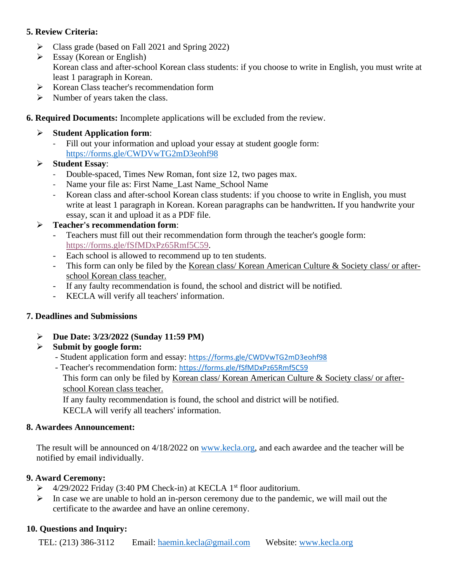## **5. Review Criteria:**

- $\triangleright$  Class grade (based on Fall 2021 and Spring 2022)
- $\triangleright$  Essay (Korean or English) Korean class and after-school Korean class students: if you choose to write in English, you must write at least 1 paragraph in Korean.
- ➢ Korean Class teacher's recommendation form
- $\triangleright$  Number of years taken the class.
- **6. Required Documents:** Incomplete applications will be excluded from the review.
	- ➢ **Student Application form**:
		- Fill out your information and upload your essay at student google form: <https://forms.gle/CWDVwTG2mD3eohf98>

## ➢ **Student Essay**:

- Double-spaced, Times New Roman, font size 12, two pages max.
- Name your file as: First Name\_Last Name\_School Name
- Korean class and after-school Korean class students: if you choose to write in English, you must write at least 1 paragraph in Korean. Korean paragraphs can be handwritten**.** If you handwrite your essay, scan it and upload it as a PDF file.

## ➢ **Teacher's recommendation form**:

- Teachers must fill out their recommendation form through the teacher's google form: [https://forms.gle/fSfMDxPz65Rmf5C59.](https://forms.gle/fSfMDxPz65Rmf5C59)
- Each school is allowed to recommend up to ten students.
- This form can only be filed by the Korean class/ Korean American Culture & Society class/ or afterschool Korean class teacher.
- If any faulty recommendation is found, the school and district will be notified.
- KECLA will verify all teachers' information.

## **7. Deadlines and Submissions**

➢ **Due Date: 3/23/2022 (Sunday 11:59 PM)**

## ➢ **Submit by google form:**

- Student application form and essay: <https://forms.gle/CWDVwTG2mD3eohf98>
- Teacher's recommendation form: <https://forms.gle/fSfMDxPz65Rmf5C59>

This form can only be filed by Korean class/ Korean American Culture & Society class/ or afterschool Korean class teacher.

If any faulty recommendation is found, the school and district will be notified. KECLA will verify all teachers' information.

## **8. Awardees Announcement:**

The result will be announced on 4/18/2022 on [www.kecla.org,](http://www.kecla.org/) and each awardee and the teacher will be notified by email individually.

## **9. Award Ceremony:**

- $\triangleright$  4/29/2022 Friday (3:40 PM Check-in) at KECLA 1<sup>st</sup> floor auditorium.
- $\triangleright$  In case we are unable to hold an in-person ceremony due to the pandemic, we will mail out the certificate to the awardee and have an online ceremony.

## **10. Questions and Inquiry:**